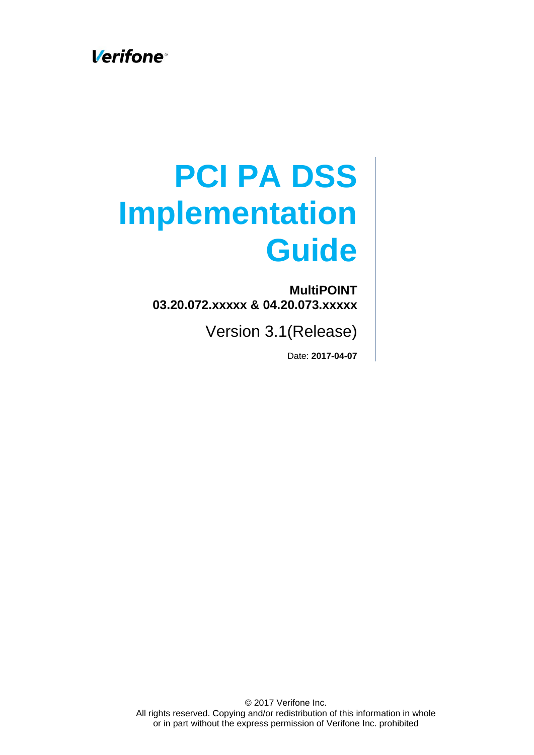**Verifone** 

# **PCI PA DSS Implementation Guide**

**MultiPOINT 03.20.072.xxxxx & 04.20.073.xxxxx**

Version 3.1(Release)

Date: **2017-04-07**

© 2017 Verifone Inc. All rights reserved. Copying and/or redistribution of this information in whole or in part without the express permission of Verifone Inc. prohibited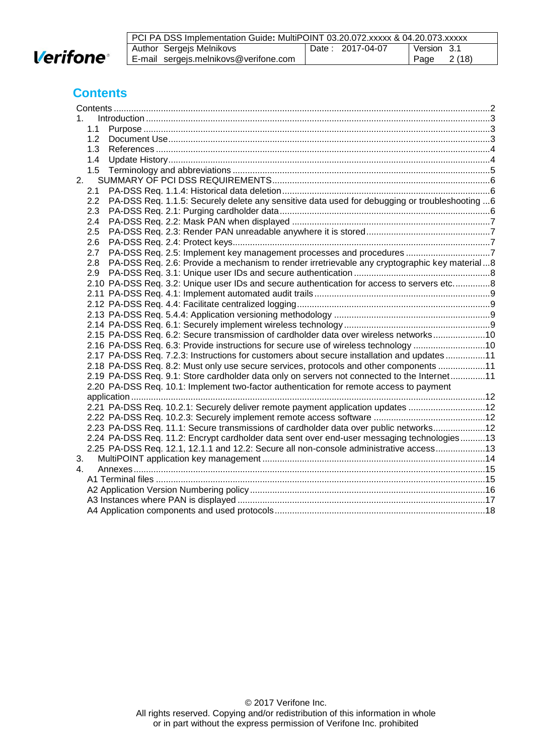

| PCI PA DSS Implementation Guide: MultiPOINT 03.20.072.xxxxx & 04.20.073.xxxxx |                  |              |
|-------------------------------------------------------------------------------|------------------|--------------|
| Author Sergejs Melnikovs                                                      | Date: 2017-04-07 | Version 3.1  |
| E-mail sergejs.melnikovs@verifone.com                                         |                  | Page $2(18)$ |

## <span id="page-1-0"></span>**Contents**

| 1.  |                                                                                                |  |
|-----|------------------------------------------------------------------------------------------------|--|
| 1.1 |                                                                                                |  |
| 1.2 |                                                                                                |  |
| 1.3 |                                                                                                |  |
| 1.4 |                                                                                                |  |
| 1.5 |                                                                                                |  |
| 2.  |                                                                                                |  |
| 2.1 |                                                                                                |  |
| 2.2 | PA-DSS Req. 1.1.5: Securely delete any sensitive data used for debugging or troubleshooting  6 |  |
| 2.3 |                                                                                                |  |
| 2.4 |                                                                                                |  |
| 2.5 |                                                                                                |  |
| 2.6 |                                                                                                |  |
| 2.7 | PA-DSS Req. 2.5: Implement key management processes and procedures 7                           |  |
| 2.8 | PA-DSS Req. 2.6: Provide a mechanism to render irretrievable any cryptographic key material8   |  |
| 2.9 |                                                                                                |  |
|     | 2.10 PA-DSS Req. 3.2: Unique user IDs and secure authentication for access to servers etc8     |  |
|     |                                                                                                |  |
|     |                                                                                                |  |
|     |                                                                                                |  |
|     |                                                                                                |  |
|     | 2.15 PA-DSS Req. 6.2: Secure transmission of cardholder data over wireless networks10          |  |
|     | 2.16 PA-DSS Req. 6.3: Provide instructions for secure use of wireless technology 10            |  |
|     | 2.17 PA-DSS Req. 7.2.3: Instructions for customers about secure installation and updates 11    |  |
|     | 2.18 PA-DSS Req. 8.2: Must only use secure services, protocols and other components 11         |  |
|     | 2.19 PA-DSS Req. 9.1: Store cardholder data only on servers not connected to the Internet11    |  |
|     | 2.20 PA-DSS Req. 10.1: Implement two-factor authentication for remote access to payment        |  |
|     |                                                                                                |  |
|     | 2.21 PA-DSS Req. 10.2.1: Securely deliver remote payment application updates 12                |  |
|     |                                                                                                |  |
|     | 2.23 PA-DSS Req. 11.1: Secure transmissions of cardholder data over public networks12          |  |
|     | 2.24 PA-DSS Req. 11.2: Encrypt cardholder data sent over end-user messaging technologies13     |  |
|     | 2.25 PA-DSS Req. 12.1, 12.1.1 and 12.2: Secure all non-console administrative access13         |  |
| 3.  |                                                                                                |  |
| 4.  |                                                                                                |  |
|     |                                                                                                |  |
|     |                                                                                                |  |
|     |                                                                                                |  |
|     |                                                                                                |  |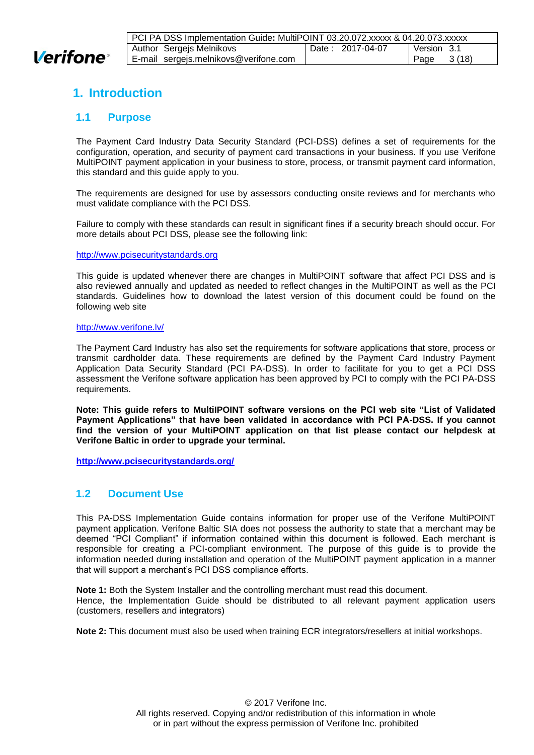

# <span id="page-2-0"></span>**1. Introduction**

#### <span id="page-2-1"></span>**1.1 Purpose**

The Payment Card Industry Data Security Standard (PCI-DSS) defines a set of requirements for the configuration, operation, and security of payment card transactions in your business. If you use Verifone MultiPOINT payment application in your business to store, process, or transmit payment card information, this standard and this guide apply to you.

The requirements are designed for use by assessors conducting onsite reviews and for merchants who must validate compliance with the PCI DSS.

Failure to comply with these standards can result in significant fines if a security breach should occur. For more details about PCI DSS, please see the following link:

[http://www.pcisecuritystandards.org](http://www.pcisecuritystandards.org/)

This guide is updated whenever there are changes in MultiPOINT software that affect PCI DSS and is also reviewed annually and updated as needed to reflect changes in the MultiPOINT as well as the PCI standards. Guidelines how to download the latest version of this document could be found on the following web site

#### <http://www.verifone.lv/>

The Payment Card Industry has also set the requirements for software applications that store, process or transmit cardholder data. These requirements are defined by the Payment Card Industry Payment Application Data Security Standard (PCI PA-DSS). In order to facilitate for you to get a PCI DSS assessment the Verifone software application has been approved by PCI to comply with the PCI PA-DSS requirements.

**Note: This guide refers to MultiIPOINT software versions on the PCI web site "List of Validated Payment Applications" that have been validated in accordance with PCI PA-DSS. If you cannot find the version of your MultiPOINT application on that list please contact our helpdesk at Verifone Baltic in order to upgrade your terminal.**

**<http://www.pcisecuritystandards.org/>**

#### <span id="page-2-2"></span>**1.2 Document Use**

This PA-DSS Implementation Guide contains information for proper use of the Verifone MultiPOINT payment application. Verifone Baltic SIA does not possess the authority to state that a merchant may be deemed "PCI Compliant" if information contained within this document is followed. Each merchant is responsible for creating a PCI-compliant environment. The purpose of this guide is to provide the information needed during installation and operation of the MultiPOINT payment application in a manner that will support a merchant's PCI DSS compliance efforts.

**Note 1:** Both the System Installer and the controlling merchant must read this document. Hence, the Implementation Guide should be distributed to all relevant payment application users (customers, resellers and integrators)

**Note 2:** This document must also be used when training ECR integrators/resellers at initial workshops.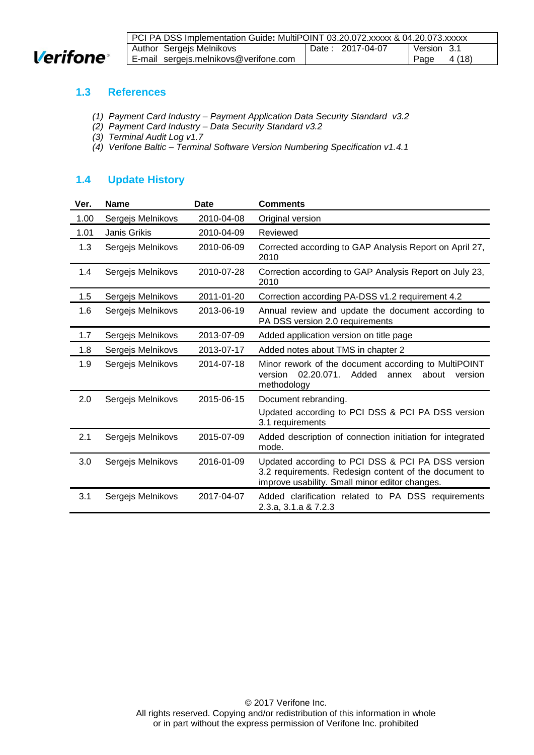

| PCI PA DSS Implementation Guide: MultiPOINT 03.20.072.xxxxx & 04.20.073.xxxxx |  |                  |             |        |
|-------------------------------------------------------------------------------|--|------------------|-------------|--------|
| Author Sergejs Melnikovs                                                      |  | Date: 2017-04-07 | Version 3.1 |        |
| E-mail sergejs.melnikovs@verifone.com                                         |  |                  | ⊤ Page      | 4 (18) |

#### <span id="page-3-0"></span>**1.3 References**

- *(1) Payment Card Industry – Payment Application Data Security Standard v3.2*
- *(2) Payment Card Industry – Data Security Standard v3.2*
- <span id="page-3-2"></span>*(3) Terminal Audit Log v1.7*
- <span id="page-3-3"></span>*(4) Verifone Baltic – Terminal Software Version Numbering Specification v1.4.1*

## <span id="page-3-1"></span>**1.4 Update History**

| Ver. | <b>Name</b>       | <b>Date</b> | <b>Comments</b>                                                                                                                                              |
|------|-------------------|-------------|--------------------------------------------------------------------------------------------------------------------------------------------------------------|
| 1.00 | Sergejs Melnikovs | 2010-04-08  | Original version                                                                                                                                             |
| 1.01 | Janis Grikis      | 2010-04-09  | Reviewed                                                                                                                                                     |
| 1.3  | Sergejs Melnikovs | 2010-06-09  | Corrected according to GAP Analysis Report on April 27,<br>2010                                                                                              |
| 1.4  | Sergejs Melnikovs | 2010-07-28  | Correction according to GAP Analysis Report on July 23,<br>2010                                                                                              |
| 1.5  | Sergejs Melnikovs | 2011-01-20  | Correction according PA-DSS v1.2 requirement 4.2                                                                                                             |
| 1.6  | Sergejs Melnikovs | 2013-06-19  | Annual review and update the document according to<br>PA DSS version 2.0 requirements                                                                        |
| 1.7  | Sergejs Melnikovs | 2013-07-09  | Added application version on title page                                                                                                                      |
| 1.8  | Sergejs Melnikovs | 2013-07-17  | Added notes about TMS in chapter 2                                                                                                                           |
| 1.9  | Sergejs Melnikovs | 2014-07-18  | Minor rework of the document according to MultiPOINT<br>02.20.071.<br>version<br>Added<br>about<br>annex<br>version<br>methodology                           |
| 2.0  | Sergejs Melnikovs | 2015-06-15  | Document rebranding.<br>Updated according to PCI DSS & PCI PA DSS version<br>3.1 requirements                                                                |
| 2.1  | Sergejs Melnikovs | 2015-07-09  | Added description of connection initiation for integrated<br>mode.                                                                                           |
| 3.0  | Sergejs Melnikovs | 2016-01-09  | Updated according to PCI DSS & PCI PA DSS version<br>3.2 requirements. Redesign content of the document to<br>improve usability. Small minor editor changes. |
| 3.1  | Sergejs Melnikovs | 2017-04-07  | Added clarification related to PA DSS requirements<br>2.3.a, 3.1.a & 7.2.3                                                                                   |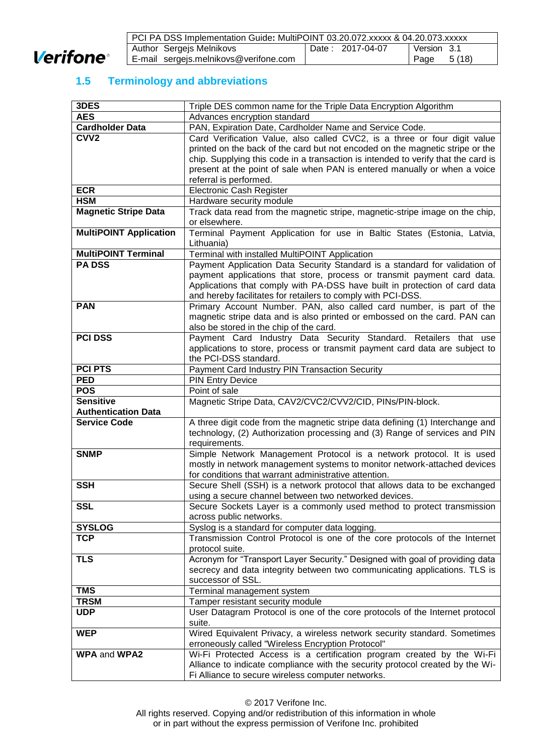

| PCI PA DSS Implementation Guide: MultiPOINT 03.20.072.xxxxx & 04.20.073.xxxxx |                  |                |
|-------------------------------------------------------------------------------|------------------|----------------|
| Author Sergejs Melnikovs                                                      | Date: 2017-04-07 | Version 3.1    |
| E-mail sergejs.melnikovs@verifone.com                                         |                  | 5 (18)<br>Page |

# <span id="page-4-0"></span>**1.5 Terminology and abbreviations**

| 3DES                          | Triple DES common name for the Triple Data Encryption Algorithm                                                                                         |
|-------------------------------|---------------------------------------------------------------------------------------------------------------------------------------------------------|
| <b>AES</b>                    | Advances encryption standard                                                                                                                            |
| <b>Cardholder Data</b>        | PAN, Expiration Date, Cardholder Name and Service Code.                                                                                                 |
| CVV <sub>2</sub>              | Card Verification Value, also called CVC2, is a three or four digit value                                                                               |
|                               | printed on the back of the card but not encoded on the magnetic stripe or the                                                                           |
|                               | chip. Supplying this code in a transaction is intended to verify that the card is                                                                       |
|                               | present at the point of sale when PAN is entered manually or when a voice                                                                               |
|                               | referral is performed.                                                                                                                                  |
| <b>ECR</b>                    | <b>Electronic Cash Register</b>                                                                                                                         |
| <b>HSM</b>                    | Hardware security module                                                                                                                                |
| <b>Magnetic Stripe Data</b>   | Track data read from the magnetic stripe, magnetic-stripe image on the chip,                                                                            |
|                               | or elsewhere.                                                                                                                                           |
| <b>MultiPOINT Application</b> | Terminal Payment Application for use in Baltic States (Estonia, Latvia,                                                                                 |
| <b>MultiPOINT Terminal</b>    | Lithuania)                                                                                                                                              |
| <b>PA DSS</b>                 | Terminal with installed MultiPOINT Application<br>Payment Application Data Security Standard is a standard for validation of                            |
|                               | payment applications that store, process or transmit payment card data.                                                                                 |
|                               | Applications that comply with PA-DSS have built in protection of card data                                                                              |
|                               | and hereby facilitates for retailers to comply with PCI-DSS.                                                                                            |
| <b>PAN</b>                    | Primary Account Number. PAN, also called card number, is part of the                                                                                    |
|                               | magnetic stripe data and is also printed or embossed on the card. PAN can                                                                               |
|                               | also be stored in the chip of the card.                                                                                                                 |
| <b>PCI DSS</b>                | Payment Card Industry Data Security Standard. Retailers that use                                                                                        |
|                               | applications to store, process or transmit payment card data are subject to                                                                             |
|                               | the PCI-DSS standard.                                                                                                                                   |
| <b>PCI PTS</b>                | Payment Card Industry PIN Transaction Security                                                                                                          |
| <b>PED</b>                    | <b>PIN Entry Device</b>                                                                                                                                 |
| <b>POS</b>                    | Point of sale                                                                                                                                           |
| <b>Sensitive</b>              | Magnetic Stripe Data, CAV2/CVC2/CVV2/CID, PINs/PIN-block.                                                                                               |
| <b>Authentication Data</b>    |                                                                                                                                                         |
| <b>Service Code</b>           | A three digit code from the magnetic stripe data defining (1) Interchange and                                                                           |
|                               | technology, (2) Authorization processing and (3) Range of services and PIN                                                                              |
|                               | requirements.                                                                                                                                           |
| <b>SNMP</b>                   | Simple Network Management Protocol is a network protocol. It is used<br>mostly in network management systems to monitor network-attached devices        |
|                               | for conditions that warrant administrative attention.                                                                                                   |
| <b>SSH</b>                    | Secure Shell (SSH) is a network protocol that allows data to be exchanged                                                                               |
|                               | using a secure channel between two networked devices.                                                                                                   |
| <b>SSL</b>                    | Secure Sockets Layer is a commonly used method to protect transmission                                                                                  |
|                               | across public networks.                                                                                                                                 |
| <b>SYSLOG</b>                 | Syslog is a standard for computer data logging.                                                                                                         |
| <b>TCP</b>                    | Transmission Control Protocol is one of the core protocols of the Internet                                                                              |
|                               | protocol suite.                                                                                                                                         |
| <b>TLS</b>                    | Acronym for "Transport Layer Security." Designed with goal of providing data                                                                            |
|                               | secrecy and data integrity between two communicating applications. TLS is                                                                               |
|                               | successor of SSL.                                                                                                                                       |
| <b>TMS</b>                    | Terminal management system                                                                                                                              |
| <b>TRSM</b>                   | Tamper resistant security module                                                                                                                        |
| <b>UDP</b>                    | User Datagram Protocol is one of the core protocols of the Internet protocol                                                                            |
|                               | suite.                                                                                                                                                  |
| <b>WEP</b>                    | Wired Equivalent Privacy, a wireless network security standard. Sometimes                                                                               |
|                               | erroneously called "Wireless Encryption Protocol"                                                                                                       |
| <b>WPA and WPA2</b>           | Wi-Fi Protected Access is a certification program created by the Wi-Fi<br>Alliance to indicate compliance with the security protocol created by the Wi- |
|                               | Fi Alliance to secure wireless computer networks.                                                                                                       |
|                               |                                                                                                                                                         |

© 2017 Verifone Inc.

All rights reserved. Copying and/or redistribution of this information in whole or in part without the express permission of Verifone Inc. prohibited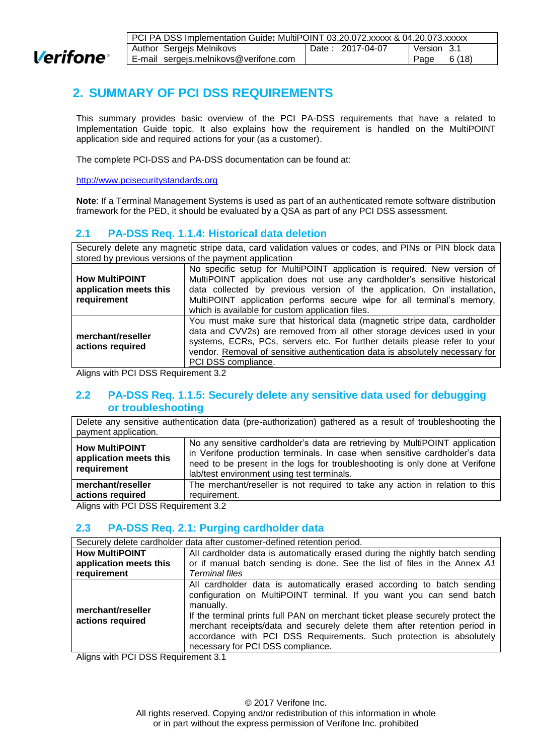

| PCI PA DSS Implementation Guide: MultiPOINT 03.20.072.xxxxx & 04.20.073.xxxxx |                                       |  |                  |              |  |
|-------------------------------------------------------------------------------|---------------------------------------|--|------------------|--------------|--|
|                                                                               | Author Sergejs Melnikovs              |  | Date: 2017-04-07 | Version 3.1  |  |
|                                                                               | E-mail sergejs.melnikovs@verifone.com |  |                  | Page $6(18)$ |  |

# <span id="page-5-0"></span>**2. SUMMARY OF PCI DSS REQUIREMENTS**

This summary provides basic overview of the PCI PA-DSS requirements that have a related to Implementation Guide topic. It also explains how the requirement is handled on the MultiPOINT application side and required actions for your (as a customer).

The complete PCI-DSS and PA-DSS documentation can be found at:

[http://www.pcisecuritystandards.org](http://www.pcisecuritystandards.org/)

**Note**: If a Terminal Management Systems is used as part of an authenticated remote software distribution framework for the PED, it should be evaluated by a QSA as part of any PCI DSS assessment.

## <span id="page-5-1"></span>**2.1 PA-DSS Req. 1.1.4: Historical data deletion**

Securely delete any magnetic stripe data, card validation values or codes, and PINs or PIN block data stored by previous versions of the payment application

|                        | No specific setup for MultiPOINT application is required. New version of     |
|------------------------|------------------------------------------------------------------------------|
| <b>How MultiPOINT</b>  | MultiPOINT application does not use any cardholder's sensitive historical    |
| application meets this | data collected by previous version of the application. On installation,      |
| requirement            | MultiPOINT application performs secure wipe for all terminal's memory,       |
|                        | which is available for custom application files.                             |
|                        | You must make sure that historical data (magnetic stripe data, cardholder    |
| merchant/reseller      | data and CVV2s) are removed from all other storage devices used in your      |
| actions required       | systems, ECRs, PCs, servers etc. For further details please refer to your    |
|                        | vendor. Removal of sensitive authentication data is absolutely necessary for |
|                        | PCI DSS compliance.                                                          |

<span id="page-5-2"></span>Aligns with PCI DSS Requirement 3.2

#### **2.2 PA-DSS Req. 1.1.5: Securely delete any sensitive data used for debugging or troubleshooting**

Delete any sensitive authentication data (pre-authorization) gathered as a result of troubleshooting the payment application.

| <b>How MultiPOINT</b><br>application meets this<br>requirement | No any sensitive cardholder's data are retrieving by MultiPOINT application<br>in Verifone production terminals. In case when sensitive cardholder's data<br>need to be present in the logs for troubleshooting is only done at Verifone<br>lab/test environment using test terminals. |  |
|----------------------------------------------------------------|----------------------------------------------------------------------------------------------------------------------------------------------------------------------------------------------------------------------------------------------------------------------------------------|--|
| merchant/reseller                                              | The merchant/reseller is not required to take any action in relation to this                                                                                                                                                                                                           |  |
| actions required                                               | requirement.                                                                                                                                                                                                                                                                           |  |
| Allows with DOI DOO Demolecule of 0.0.                         |                                                                                                                                                                                                                                                                                        |  |

<span id="page-5-3"></span>Aligns with PCI DSS Requirement 3.2

#### **2.3 PA-DSS Req. 2.1: Purging cardholder data**

| Securely delete cardholder data after customer-defined retention period. |                                                                                                                                                                                                                                                                                                                                                                                                                                        |  |
|--------------------------------------------------------------------------|----------------------------------------------------------------------------------------------------------------------------------------------------------------------------------------------------------------------------------------------------------------------------------------------------------------------------------------------------------------------------------------------------------------------------------------|--|
| <b>How MultiPOINT</b>                                                    | All cardholder data is automatically erased during the nightly batch sending                                                                                                                                                                                                                                                                                                                                                           |  |
| application meets this                                                   | or if manual batch sending is done. See the list of files in the Annex A1                                                                                                                                                                                                                                                                                                                                                              |  |
| requirement                                                              | <b>Terminal files</b>                                                                                                                                                                                                                                                                                                                                                                                                                  |  |
| merchant/reseller<br>actions required                                    | All cardholder data is automatically erased according to batch sending<br>configuration on MultiPOINT terminal. If you want you can send batch<br>manually.<br>If the terminal prints full PAN on merchant ticket please securely protect the<br>merchant receipts/data and securely delete them after retention period in<br>accordance with PCI DSS Requirements. Such protection is absolutely<br>necessary for PCI DSS compliance. |  |

Aligns with PCI DSS Requirement 3.1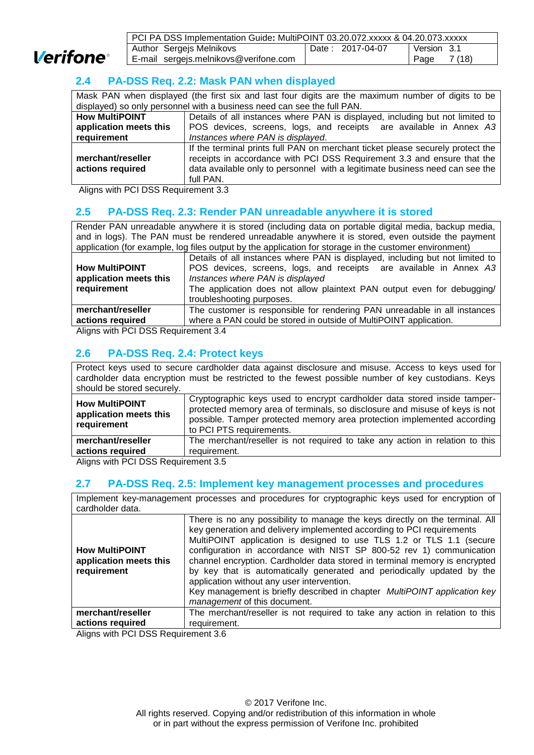

| PCI PA DSS Implementation Guide: MultiPOINT 03.20.072.xxxxx & 04.20.073.xxxxx |                  |               |
|-------------------------------------------------------------------------------|------------------|---------------|
| Author Sergejs Melnikovs                                                      | Date: 2017-04-07 | Version 3.1   |
| E-mail sergejs.melnikovs@verifone.com                                         |                  | 7(18)<br>Page |

## <span id="page-6-0"></span>**2.4 PA-DSS Req. 2.2: Mask PAN when displayed**

Mask PAN when displayed (the first six and last four digits are the maximum number of digits to be displayed) so only personnel with a business need can see the full PAN.

| <b>How MultiPOINT</b>                 | Details of all instances where PAN is displayed, including but not limited to                                                                                                                                                                          |
|---------------------------------------|--------------------------------------------------------------------------------------------------------------------------------------------------------------------------------------------------------------------------------------------------------|
| application meets this                | POS devices, screens, logs, and receipts are available in Annex A3                                                                                                                                                                                     |
| requirement                           | Instances where PAN is displayed.                                                                                                                                                                                                                      |
| merchant/reseller<br>actions required | If the terminal prints full PAN on merchant ticket please securely protect the<br>receipts in accordance with PCI DSS Requirement 3.3 and ensure that the<br>data available only to personnel with a legitimate business need can see the<br>full PAN. |

<span id="page-6-1"></span>Aligns with PCI DSS Requirement 3.3

## **2.5 PA-DSS Req. 2.3: Render PAN unreadable anywhere it is stored**

Render PAN unreadable anywhere it is stored (including data on portable digital media, backup media, and in logs). The PAN must be rendered unreadable anywhere it is stored, even outside the payment application (for example, log files output by the application for storage in the customer environment)

|                        | approacholi (ioi oxampio, iog moo output by the approacholi for otorago in the outcomer originality |  |  |
|------------------------|-----------------------------------------------------------------------------------------------------|--|--|
|                        | Details of all instances where PAN is displayed, including but not limited to                       |  |  |
| <b>How MultiPOINT</b>  | POS devices, screens, logs, and receipts are available in Annex A3                                  |  |  |
| application meets this | Instances where PAN is displayed                                                                    |  |  |
| requirement            | The application does not allow plaintext PAN output even for debugging/                             |  |  |
|                        | troubleshooting purposes.                                                                           |  |  |
| merchant/reseller      | The customer is responsible for rendering PAN unreadable in all instances                           |  |  |
| actions required       | where a PAN could be stored in outside of MultiPOINT application.                                   |  |  |
|                        |                                                                                                     |  |  |

<span id="page-6-2"></span>Aligns with PCI DSS Requirement 3.4

## **2.6 PA-DSS Req. 2.4: Protect keys**

Protect keys used to secure cardholder data against disclosure and misuse. Access to keys used for cardholder data encryption must be restricted to the fewest possible number of key custodians. Keys should be stored securely.

| <b>How MultiPOINT</b><br>application meets this<br>requirement | Cryptographic keys used to encrypt cardholder data stored inside tamper-<br>protected memory area of terminals, so disclosure and misuse of keys is not<br>possible. Tamper protected memory area protection implemented according<br>to PCI PTS requirements. |
|----------------------------------------------------------------|----------------------------------------------------------------------------------------------------------------------------------------------------------------------------------------------------------------------------------------------------------------|
| merchant/reseller                                              | The merchant/reseller is not required to take any action in relation to this                                                                                                                                                                                   |
|                                                                |                                                                                                                                                                                                                                                                |
| actions required                                               | requirement.                                                                                                                                                                                                                                                   |

<span id="page-6-3"></span>Aligns with PCI DSS Requirement 3.5

#### **2.7 PA-DSS Req. 2.5: Implement key management processes and procedures**

Implement key-management processes and procedures for cryptographic keys used for encryption of cardholder data.

| <b>How MultiPOINT</b><br>application meets this<br>requirement          | There is no any possibility to manage the keys directly on the terminal. All<br>key generation and delivery implemented according to PCI requirements<br>MultiPOINT application is designed to use TLS 1.2 or TLS 1.1 (secure<br>configuration in accordance with NIST SP 800-52 rev 1) communication<br>channel encryption. Cardholder data stored in terminal memory is encrypted<br>by key that is automatically generated and periodically updated by the<br>application without any user intervention.<br>Key management is briefly described in chapter MultiPOINT application key<br>management of this document. |
|-------------------------------------------------------------------------|--------------------------------------------------------------------------------------------------------------------------------------------------------------------------------------------------------------------------------------------------------------------------------------------------------------------------------------------------------------------------------------------------------------------------------------------------------------------------------------------------------------------------------------------------------------------------------------------------------------------------|
| merchant/reseller                                                       | The merchant/reseller is not required to take any action in relation to this                                                                                                                                                                                                                                                                                                                                                                                                                                                                                                                                             |
| actions required                                                        | requirement.                                                                                                                                                                                                                                                                                                                                                                                                                                                                                                                                                                                                             |
| $\mathbf{A}$ is the position of $\mathbf{A}$ is the set of $\mathbf{A}$ |                                                                                                                                                                                                                                                                                                                                                                                                                                                                                                                                                                                                                          |

Aligns with PCI DSS Requirement 3.6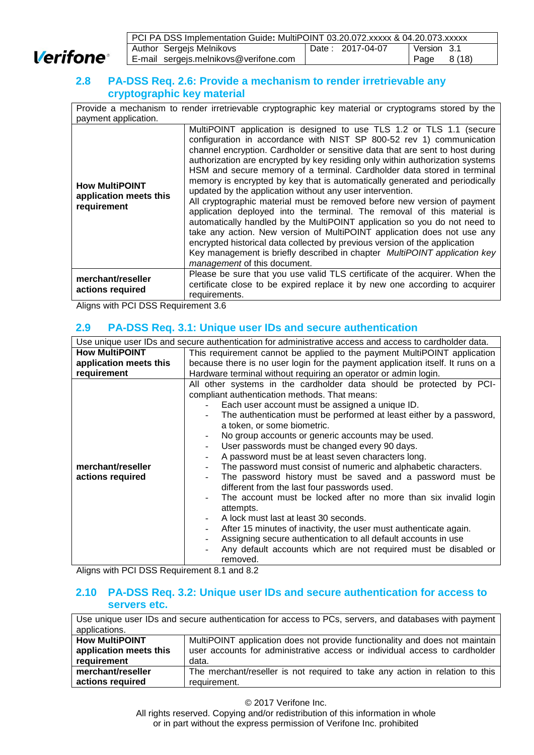**Verifone** 

| PCI PA DSS Implementation Guide: MultiPOINT 03.20.072.xxxxx & 04.20.073.xxxxx |                  |                |  |
|-------------------------------------------------------------------------------|------------------|----------------|--|
| Author Sergejs Melnikovs                                                      | Date: 2017-04-07 | Version 3.1    |  |
| E-mail sergejs.melnikovs@verifone.com                                         |                  | 8 (18)<br>Page |  |

## <span id="page-7-0"></span>**2.8 PA-DSS Req. 2.6: Provide a mechanism to render irretrievable any cryptographic key material**

Provide a mechanism to render irretrievable cryptographic key material or cryptograms stored by the payment application.

| <b>How MultiPOINT</b><br>application meets this<br>requirement | MultiPOINT application is designed to use TLS 1.2 or TLS 1.1 (secure<br>configuration in accordance with NIST SP 800-52 rev 1) communication<br>channel encryption. Cardholder or sensitive data that are sent to host during<br>authorization are encrypted by key residing only within authorization systems<br>HSM and secure memory of a terminal. Cardholder data stored in terminal<br>memory is encrypted by key that is automatically generated and periodically<br>updated by the application without any user intervention.<br>All cryptographic material must be removed before new version of payment<br>application deployed into the terminal. The removal of this material is<br>automatically handled by the MultiPOINT application so you do not need to<br>take any action. New version of MultiPOINT application does not use any<br>encrypted historical data collected by previous version of the application<br>Key management is briefly described in chapter MultiPOINT application key<br>management of this document. |
|----------------------------------------------------------------|-------------------------------------------------------------------------------------------------------------------------------------------------------------------------------------------------------------------------------------------------------------------------------------------------------------------------------------------------------------------------------------------------------------------------------------------------------------------------------------------------------------------------------------------------------------------------------------------------------------------------------------------------------------------------------------------------------------------------------------------------------------------------------------------------------------------------------------------------------------------------------------------------------------------------------------------------------------------------------------------------------------------------------------------------|
| merchant/reseller<br>actions required                          | Please be sure that you use valid TLS certificate of the acquirer. When the<br>certificate close to be expired replace it by new one according to acquirer<br>requirements.                                                                                                                                                                                                                                                                                                                                                                                                                                                                                                                                                                                                                                                                                                                                                                                                                                                                     |

<span id="page-7-1"></span>Aligns with PCI DSS Requirement 3.6

## **2.9 PA-DSS Req. 3.1: Unique user IDs and secure authentication**

| Use unique user IDs and secure authentication for administrative access and access to cardholder data. |                                                                                 |  |  |  |
|--------------------------------------------------------------------------------------------------------|---------------------------------------------------------------------------------|--|--|--|
| <b>How MultiPOINT</b>                                                                                  | This requirement cannot be applied to the payment MultiPOINT application        |  |  |  |
| application meets this                                                                                 | because there is no user login for the payment application itself. It runs on a |  |  |  |
| requirement                                                                                            | Hardware terminal without requiring an operator or admin login.                 |  |  |  |
|                                                                                                        | All other systems in the cardholder data should be protected by PCI-            |  |  |  |
|                                                                                                        | compliant authentication methods. That means:                                   |  |  |  |
|                                                                                                        | Each user account must be assigned a unique ID.                                 |  |  |  |
|                                                                                                        | The authentication must be performed at least either by a password,             |  |  |  |
|                                                                                                        | a token, or some biometric.                                                     |  |  |  |
|                                                                                                        | No group accounts or generic accounts may be used.                              |  |  |  |
|                                                                                                        | User passwords must be changed every 90 days.                                   |  |  |  |
|                                                                                                        | A password must be at least seven characters long.                              |  |  |  |
| merchant/reseller                                                                                      | The password must consist of numeric and alphabetic characters.                 |  |  |  |
| actions required                                                                                       | The password history must be saved and a password must be                       |  |  |  |
|                                                                                                        | different from the last four passwords used.                                    |  |  |  |
| The account must be locked after no more than six invalid login                                        |                                                                                 |  |  |  |
|                                                                                                        | attempts.                                                                       |  |  |  |
|                                                                                                        | A lock must last at least 30 seconds.                                           |  |  |  |
| After 15 minutes of inactivity, the user must authenticate again.                                      |                                                                                 |  |  |  |
|                                                                                                        | Assigning secure authentication to all default accounts in use                  |  |  |  |
|                                                                                                        | Any default accounts which are not required must be disabled or                 |  |  |  |
|                                                                                                        | removed.                                                                        |  |  |  |

<span id="page-7-2"></span>Aligns with PCI DSS Requirement 8.1 and 8.2

## **2.10 PA-DSS Req. 3.2: Unique user IDs and secure authentication for access to servers etc.**

Use unique user IDs and secure authentication for access to PCs, servers, and databases with payment applications. **How MultiPOINT application meets this requirement** MultiPOINT application does not provide functionality and does not maintain user accounts for administrative access or individual access to cardholder data. **merchant/reseller actions required** The merchant/reseller is not required to take any action in relation to this requirement.

© 2017 Verifone Inc.

All rights reserved. Copying and/or redistribution of this information in whole or in part without the express permission of Verifone Inc. prohibited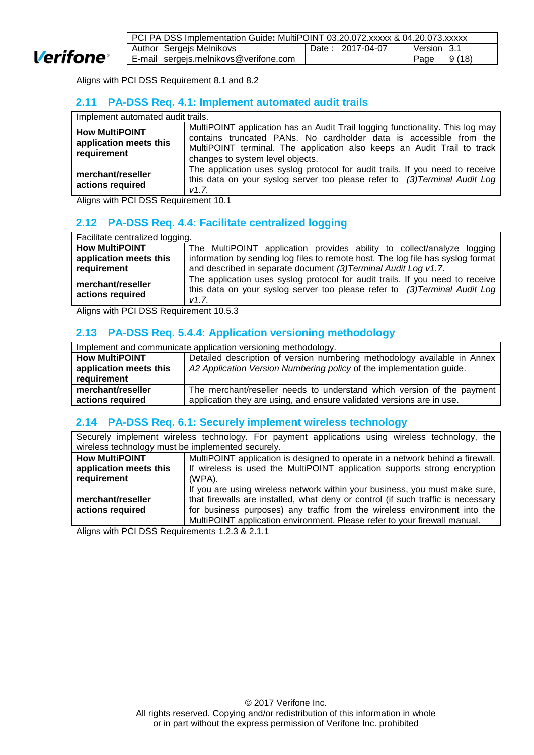

| PCI PA DSS Implementation Guide: MultiPOINT 03.20.072.xxxxx & 04.20.073.xxxxx |                  |                |  |
|-------------------------------------------------------------------------------|------------------|----------------|--|
| Author Sergejs Melnikovs                                                      | Date: 2017-04-07 | Version 3.1    |  |
| E-mail sergejs.melnikovs@verifone.com                                         |                  | 9 (18)<br>Page |  |

Aligns with PCI DSS Requirement 8.1 and 8.2

## <span id="page-8-0"></span>**2.11 PA-DSS Req. 4.1: Implement automated audit trails**

| Implement automated audit trails.                              |                                                                                                                                                                                                                                                                    |  |  |
|----------------------------------------------------------------|--------------------------------------------------------------------------------------------------------------------------------------------------------------------------------------------------------------------------------------------------------------------|--|--|
| <b>How MultiPOINT</b><br>application meets this<br>requirement | MultiPOINT application has an Audit Trail logging functionality. This log may<br>contains truncated PANs. No cardholder data is accessible from the<br>MultiPOINT terminal. The application also keeps an Audit Trail to track<br>changes to system level objects. |  |  |
| merchant/reseller<br>actions required                          | The application uses syslog protocol for audit trails. If you need to receive<br>this data on your syslog server too please refer to (3) Terminal Audit Log<br>V1.7.                                                                                               |  |  |

<span id="page-8-1"></span>Aligns with PCI DSS Requirement 10.1

## **2.12 PA-DSS Req. 4.4: Facilitate centralized logging**

| Facilitate centralized logging.       |                                                                                                                                                                      |  |  |
|---------------------------------------|----------------------------------------------------------------------------------------------------------------------------------------------------------------------|--|--|
| <b>How MultiPOINT</b>                 | The MultiPOINT application provides ability to collect/analyze logging                                                                                               |  |  |
| application meets this                | information by sending log files to remote host. The log file has syslog format                                                                                      |  |  |
| requirement                           | and described in separate document (3) Terminal Audit Log v1.7.                                                                                                      |  |  |
| merchant/reseller<br>actions required | The application uses syslog protocol for audit trails. If you need to receive<br>this data on your syslog server too please refer to (3) Terminal Audit Log<br>V1.7. |  |  |

<span id="page-8-2"></span>Aligns with PCI DSS Requirement 10.5.3

## **2.13 PA-DSS Req. 5.4.4: Application versioning methodology**

| Implement and communicate application versioning methodology. |                                                                          |  |
|---------------------------------------------------------------|--------------------------------------------------------------------------|--|
| <b>How MultiPOINT</b>                                         | Detailed description of version numbering methodology available in Annex |  |
| application meets this                                        | A2 Application Version Numbering policy of the implementation guide.     |  |
| requirement                                                   |                                                                          |  |
| merchant/reseller                                             | The merchant/reseller needs to understand which version of the payment   |  |
| actions required                                              | application they are using, and ensure validated versions are in use.    |  |

## <span id="page-8-3"></span>**2.14 PA-DSS Req. 6.1: Securely implement wireless technology**

Securely implement wireless technology. For payment applications using wireless technology, the wireless technology must be implemented securely

| <u>WILCROS TOOHING OF HILL BO IMPIGNIUM IN SOCIAL DIVI</u> |                                                                                  |  |  |
|------------------------------------------------------------|----------------------------------------------------------------------------------|--|--|
| <b>How MultiPOINT</b>                                      | MultiPOINT application is designed to operate in a network behind a firewall.    |  |  |
| application meets this                                     | If wireless is used the MultiPOINT application supports strong encryption        |  |  |
| requirement                                                | (WPA).                                                                           |  |  |
|                                                            | If you are using wireless network within your business, you must make sure,      |  |  |
| merchant/reseller                                          | that firewalls are installed, what deny or control (if such traffic is necessary |  |  |
| actions required                                           | for business purposes) any traffic from the wireless environment into the        |  |  |
|                                                            | MultiPOINT application environment. Please refer to your firewall manual.        |  |  |

<span id="page-8-4"></span>Aligns with PCI DSS Requirements 1.2.3 & 2.1.1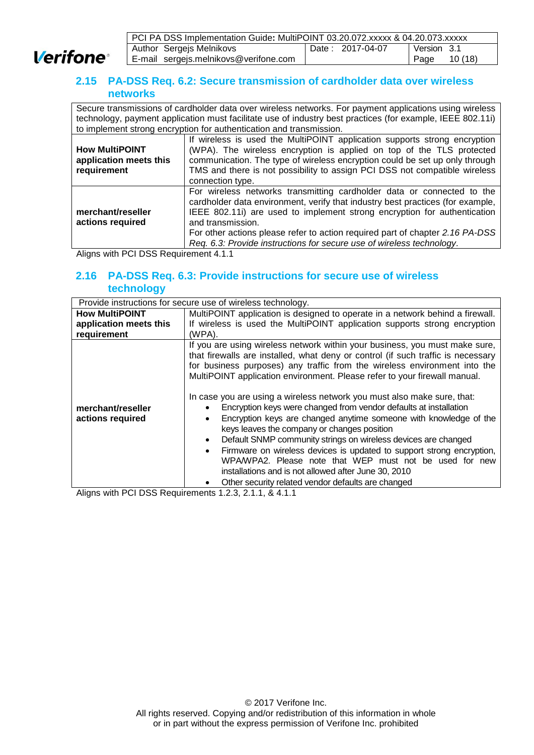

| PCI PA DSS Implementation Guide: MultiPOINT 03.20.072.xxxxx & 04.20.073.xxxxx |                  |                 |  |
|-------------------------------------------------------------------------------|------------------|-----------------|--|
| Author Sergejs Melnikovs                                                      | Date: 2017-04-07 | l Version 3.1   |  |
| E-mail sergejs.melnikovs@verifone.com                                         |                  | 10 (18)<br>Page |  |

## **2.15 PA-DSS Req. 6.2: Secure transmission of cardholder data over wireless networks**

Secure transmissions of cardholder data over wireless networks. For payment applications using wireless technology, payment application must facilitate use of industry best practices (for example, IEEE 802.11i) to implement strong encryption for authentication and transmission.

| <b>How MultiPOINT</b><br>application meets this<br>requirement | If wireless is used the MultiPOINT application supports strong encryption<br>(WPA). The wireless encryption is applied on top of the TLS protected<br>communication. The type of wireless encryption could be set up only through<br>TMS and there is not possibility to assign PCI DSS not compatible wireless<br>connection type.                                                                                 |
|----------------------------------------------------------------|---------------------------------------------------------------------------------------------------------------------------------------------------------------------------------------------------------------------------------------------------------------------------------------------------------------------------------------------------------------------------------------------------------------------|
| merchant/reseller<br>actions required                          | For wireless networks transmitting cardholder data or connected to the<br>cardholder data environment, verify that industry best practices (for example,<br>IEEE 802.11i) are used to implement strong encryption for authentication<br>and transmission.<br>For other actions please refer to action required part of chapter 2.16 PA-DSS<br>Req. 6.3: Provide instructions for secure use of wireless technology. |

Aligns with PCI DSS Requirement 4.1.1

## <span id="page-9-0"></span>**2.16 PA-DSS Req. 6.3: Provide instructions for secure use of wireless technology**

| Provide instructions for secure use of wireless technology. |                                                                                                                                                                                                                                                                                                                                                                                                      |  |  |  |
|-------------------------------------------------------------|------------------------------------------------------------------------------------------------------------------------------------------------------------------------------------------------------------------------------------------------------------------------------------------------------------------------------------------------------------------------------------------------------|--|--|--|
| <b>How MultiPOINT</b>                                       | MultiPOINT application is designed to operate in a network behind a firewall.                                                                                                                                                                                                                                                                                                                        |  |  |  |
| application meets this                                      | If wireless is used the MultiPOINT application supports strong encryption                                                                                                                                                                                                                                                                                                                            |  |  |  |
| requirement                                                 | (WPA).                                                                                                                                                                                                                                                                                                                                                                                               |  |  |  |
|                                                             | If you are using wireless network within your business, you must make sure,<br>that firewalls are installed, what deny or control (if such traffic is necessary<br>for business purposes) any traffic from the wireless environment into the<br>MultiPOINT application environment. Please refer to your firewall manual.<br>In case you are using a wireless network you must also make sure, that: |  |  |  |
| merchant/reseller                                           | Encryption keys were changed from vendor defaults at installation                                                                                                                                                                                                                                                                                                                                    |  |  |  |
| actions required                                            | Encryption keys are changed anytime someone with knowledge of the<br>$\bullet$<br>keys leaves the company or changes position<br>Default SNMP community strings on wireless devices are changed<br>$\bullet$                                                                                                                                                                                         |  |  |  |
|                                                             | Firmware on wireless devices is updated to support strong encryption,<br>$\bullet$<br>WPA/WPA2. Please note that WEP must not be used for new<br>installations and is not allowed after June 30, 2010                                                                                                                                                                                                |  |  |  |
|                                                             | Other security related vendor defaults are changed                                                                                                                                                                                                                                                                                                                                                   |  |  |  |

<span id="page-9-1"></span>Aligns with PCI DSS Requirements 1.2.3, 2.1.1, & 4.1.1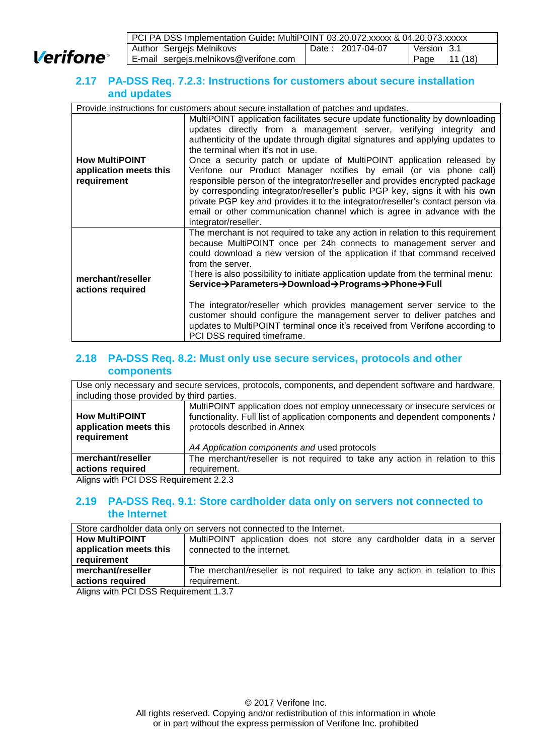**Verifone** 

| PCI PA DSS Implementation Guide: MultiPOINT 03.20.072.xxxxx & 04.20.073.xxxxx |                  |                |
|-------------------------------------------------------------------------------|------------------|----------------|
| Author Sergejs Melnikovs                                                      | Date: 2017-04-07 | l Version 3.1  |
| E-mail sergejs.melnikovs@verifone.com                                         |                  | 11(18)<br>Page |

## **2.17 PA-DSS Req. 7.2.3: Instructions for customers about secure installation and updates**

| Provide instructions for customers about secure installation of patches and updates. |                                                                                                                                                                                                                                                                                                                                                                                                                                                                                                                                                                                                                                                                                                                                                                                 |  |  |
|--------------------------------------------------------------------------------------|---------------------------------------------------------------------------------------------------------------------------------------------------------------------------------------------------------------------------------------------------------------------------------------------------------------------------------------------------------------------------------------------------------------------------------------------------------------------------------------------------------------------------------------------------------------------------------------------------------------------------------------------------------------------------------------------------------------------------------------------------------------------------------|--|--|
| <b>How MultiPOINT</b><br>application meets this<br>requirement                       | MultiPOINT application facilitates secure update functionality by downloading<br>updates directly from a management server, verifying integrity and<br>authenticity of the update through digital signatures and applying updates to<br>the terminal when it's not in use.<br>Once a security patch or update of MultiPOINT application released by<br>Verifone our Product Manager notifies by email (or via phone call)<br>responsible person of the integrator/reseller and provides encrypted package<br>by corresponding integrator/reseller's public PGP key, signs it with his own<br>private PGP key and provides it to the integrator/reseller's contact person via<br>email or other communication channel which is agree in advance with the<br>integrator/reseller. |  |  |
| merchant/reseller<br>actions required                                                | The merchant is not required to take any action in relation to this requirement<br>because MultiPOINT once per 24h connects to management server and<br>could download a new version of the application if that command received<br>from the server.<br>There is also possibility to initiate application update from the terminal menu:<br>Service→Parameters→Download→Programs→Phone→Full<br>The integrator/reseller which provides management server service to the<br>customer should configure the management server to deliver patches and<br>updates to MultiPOINT terminal once it's received from Verifone according to<br>PCI DSS required timeframe.                                                                                                                 |  |  |

## <span id="page-10-0"></span>**2.18 PA-DSS Req. 8.2: Must only use secure services, protocols and other components**

| Use only necessary and secure services, protocols, components, and dependent software and hardware,<br>including those provided by third parties. |                                                                                                                                                                                             |  |  |
|---------------------------------------------------------------------------------------------------------------------------------------------------|---------------------------------------------------------------------------------------------------------------------------------------------------------------------------------------------|--|--|
| <b>How MultiPOINT</b><br>application meets this<br>requirement                                                                                    | MultiPOINT application does not employ unnecessary or insecure services or<br>functionality. Full list of application components and dependent components /<br>protocols described in Annex |  |  |
|                                                                                                                                                   | A4 Application components and used protocols                                                                                                                                                |  |  |
| merchant/reseller                                                                                                                                 | The merchant/reseller is not required to take any action in relation to this                                                                                                                |  |  |
| actions required                                                                                                                                  | requirement.                                                                                                                                                                                |  |  |

<span id="page-10-1"></span>Aligns with PCI DSS Requirement 2.2.3

## **2.19 PA-DSS Req. 9.1: Store cardholder data only on servers not connected to the Internet**

| Store cardholder data only on servers not connected to the Internet. |                                                                              |  |  |
|----------------------------------------------------------------------|------------------------------------------------------------------------------|--|--|
| <b>How MultiPOINT</b>                                                | MultiPOINT application does not store any cardholder data in a server        |  |  |
| application meets this                                               | connected to the internet.                                                   |  |  |
| <b>requirement</b>                                                   |                                                                              |  |  |
| merchant/reseller                                                    | The merchant/reseller is not required to take any action in relation to this |  |  |
| actions required                                                     | requirement.                                                                 |  |  |

<span id="page-10-2"></span>Aligns with PCI DSS Requirement 1.3.7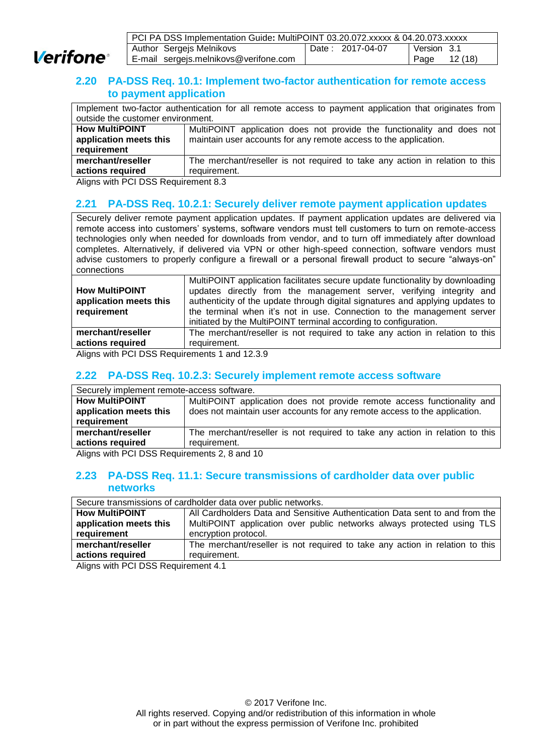

| PCI PA DSS Implementation Guide: MultiPOINT 03.20.072.xxxxx & 04.20.073.xxxxx |                  |               |  |
|-------------------------------------------------------------------------------|------------------|---------------|--|
| Author Sergejs Melnikovs                                                      | Date: 2017-04-07 | Version 3.1   |  |
| E-mail sergejs.melnikovs@verifone.com                                         |                  | Page $12(18)$ |  |

## **2.20 PA-DSS Req. 10.1: Implement two-factor authentication for remote access to payment application**

|                                   | Implement two-factor authentication for all remote access to payment application that originates from |  |  |
|-----------------------------------|-------------------------------------------------------------------------------------------------------|--|--|
| outside the customer environment. |                                                                                                       |  |  |
| <b>How MultiPOINT</b>             | MultiPOINT application does not provide the functionality and does not                                |  |  |
| application meets this            | maintain user accounts for any remote access to the application.                                      |  |  |
| requirement                       |                                                                                                       |  |  |
| merchant/reseller                 | The merchant/reseller is not required to take any action in relation to this                          |  |  |
| actions required                  | requirement.                                                                                          |  |  |

<span id="page-11-0"></span>Aligns with PCI DSS Requirement 8.3

## **2.21 PA-DSS Req. 10.2.1: Securely deliver remote payment application updates**

Securely deliver remote payment application updates. If payment application updates are delivered via remote access into customers' systems, software vendors must tell customers to turn on remote-access technologies only when needed for downloads from vendor, and to turn off immediately after download completes. Alternatively, if delivered via VPN or other high-speed connection, software vendors must advise customers to properly configure a firewall or a personal firewall product to secure "always-on" connections

|                        | MultiPOINT application facilitates secure update functionality by downloading |
|------------------------|-------------------------------------------------------------------------------|
| <b>How MultiPOINT</b>  | updates directly from the management server, verifying integrity and          |
| application meets this | authenticity of the update through digital signatures and applying updates to |
| requirement            | the terminal when it's not in use. Connection to the management server        |
|                        | initiated by the MultiPOINT terminal according to configuration.              |
| merchant/reseller      | The merchant/reseller is not required to take any action in relation to this  |
| actions required       | requirement.                                                                  |
|                        |                                                                               |

Aligns with PCI DSS Requirements 1 and 12.3.9

## <span id="page-11-1"></span>**2.22 PA-DSS Req. 10.2.3: Securely implement remote access software**

| Securely implement remote-access software. |                                                                              |  |  |
|--------------------------------------------|------------------------------------------------------------------------------|--|--|
| <b>How MultiPOINT</b>                      | MultiPOINT application does not provide remote access functionality and      |  |  |
| application meets this                     | does not maintain user accounts for any remote access to the application.    |  |  |
| requirement                                |                                                                              |  |  |
| merchant/reseller                          | The merchant/reseller is not required to take any action in relation to this |  |  |
| actions required                           | requirement.                                                                 |  |  |
|                                            |                                                                              |  |  |

<span id="page-11-2"></span>Aligns with PCI DSS Requirements 2, 8 and 10

#### **2.23 PA-DSS Req. 11.1: Secure transmissions of cardholder data over public networks**

| Secure transmissions of cardholder data over public networks. |                                                                              |  |
|---------------------------------------------------------------|------------------------------------------------------------------------------|--|
| <b>How MultiPOINT</b>                                         | All Cardholders Data and Sensitive Authentication Data sent to and from the  |  |
| application meets this                                        | MultiPOINT application over public networks always protected using TLS       |  |
| requirement                                                   | encryption protocol.                                                         |  |
| merchant/reseller                                             | The merchant/reseller is not required to take any action in relation to this |  |
| actions required                                              | requirement.                                                                 |  |

<span id="page-11-3"></span>Aligns with PCI DSS Requirement 4.1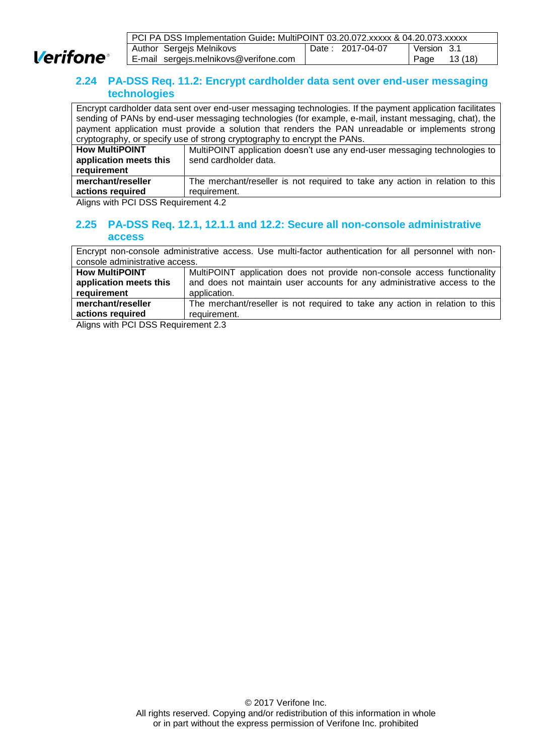

| PCI PA DSS Implementation Guide: MultiPOINT 03.20.072.xxxxx & 04.20.073.xxxxx |  |
|-------------------------------------------------------------------------------|--|
| Date: 2017-04-07<br>Author Sergejs Melnikovs<br>Version 3.1                   |  |
| Page $13(18)$<br>E-mail sergejs.melnikovs@verifone.com                        |  |

## **2.24 PA-DSS Req. 11.2: Encrypt cardholder data sent over end-user messaging technologies**

|                        | Encrypt cardholder data sent over end-user messaging technologies. If the payment application facilitates |  |  |
|------------------------|-----------------------------------------------------------------------------------------------------------|--|--|
|                        | sending of PANs by end-user messaging technologies (for example, e-mail, instant messaging, chat), the    |  |  |
|                        | payment application must provide a solution that renders the PAN unreadable or implements strong          |  |  |
|                        | cryptography, or specify use of strong cryptography to encrypt the PANs.                                  |  |  |
| <b>How MultiPOINT</b>  | MultiPOINT application doesn't use any end-user messaging technologies to                                 |  |  |
| application meets this | send cardholder data.                                                                                     |  |  |
| requirement            |                                                                                                           |  |  |
| merchant/reseller      | The merchant/reseller is not required to take any action in relation to this                              |  |  |
| actions required       | requirement.                                                                                              |  |  |

<span id="page-12-0"></span>Aligns with PCI DSS Requirement 4.2

## **2.25 PA-DSS Req. 12.1, 12.1.1 and 12.2: Secure all non-console administrative access**

Encrypt non-console administrative access. Use multi-factor authentication for all personnel with nonconsole administrative access. **How MultiPOINT application meets this requirement** MultiPOINT application does not provide non-console access functionality and does not maintain user accounts for any administrative access to the application. **merchant/reseller actions required** The merchant/reseller is not required to take any action in relation to this requirement.

Aligns with PCI DSS Requirement 2.3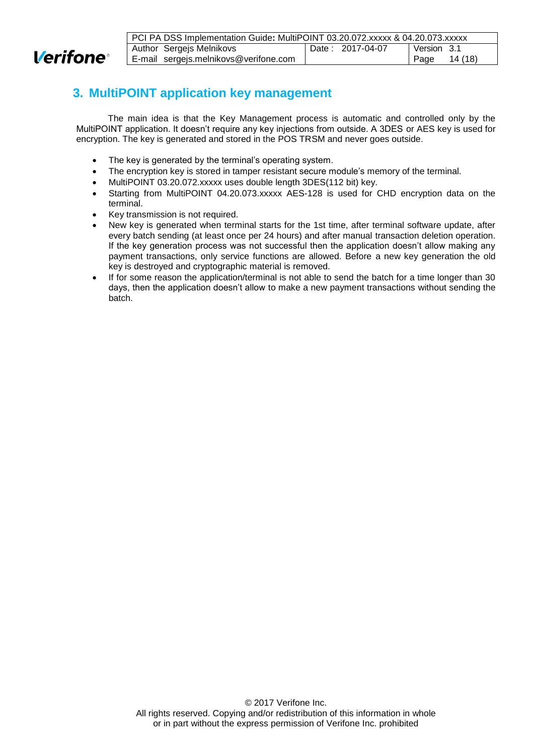

| PCI PA DSS Implementation Guide: MultiPOINT 03.20.072.xxxxx & 04.20.073.xxxxx |                                       |  |                  |             |         |
|-------------------------------------------------------------------------------|---------------------------------------|--|------------------|-------------|---------|
|                                                                               | Author Sergejs Melnikovs              |  | Date: 2017-04-07 | Version 3.1 |         |
|                                                                               | E-mail sergejs.melnikovs@verifone.com |  |                  | ⊩ Page      | 14 (18) |

## <span id="page-13-0"></span>**3. MultiPOINT application key management**

The main idea is that the Key Management process is automatic and controlled only by the MultiPOINT application. It doesn't require any key injections from outside. A 3DES or AES key is used for encryption. The key is generated and stored in the POS TRSM and never goes outside.

- The key is generated by the terminal's operating system.
- The encryption key is stored in tamper resistant secure module's memory of the terminal.
- MultiPOINT 03.20.072.xxxxx uses double length 3DES(112 bit) key.
- Starting from MultiPOINT 04.20.073.xxxxx AES-128 is used for CHD encryption data on the terminal.
- Key transmission is not required.
- New key is generated when terminal starts for the 1st time, after terminal software update, after every batch sending (at least once per 24 hours) and after manual transaction deletion operation. If the key generation process was not successful then the application doesn't allow making any payment transactions, only service functions are allowed. Before a new key generation the old key is destroyed and cryptographic material is removed.
- If for some reason the application/terminal is not able to send the batch for a time longer than 30 days, then the application doesn't allow to make a new payment transactions without sending the batch.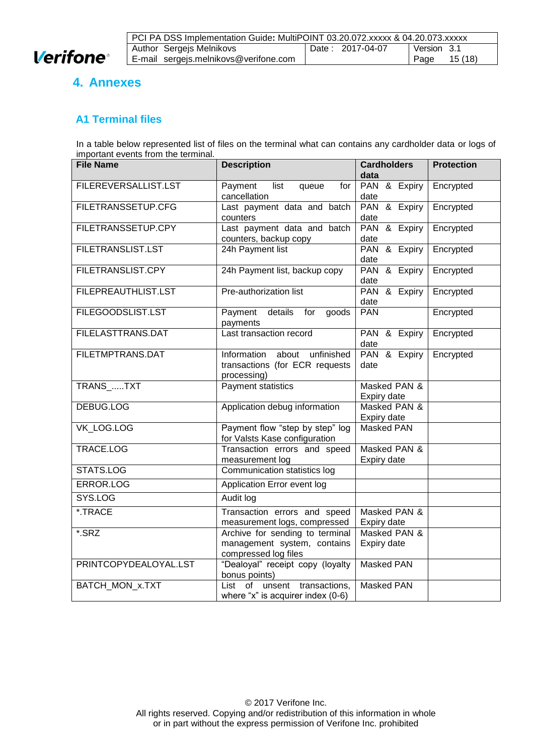

| PCI PA DSS Implementation Guide: MultiPOINT 03.20.072.xxxxx & 04.20.073.xxxxx |  |                   |  |
|-------------------------------------------------------------------------------|--|-------------------|--|
| Author Sergejs Melnikovs<br>Date: 2017-04-07<br>l Version 3.1                 |  |                   |  |
| E-mail sergejs.melnikovs@verifone.com                                         |  | 15 (18)<br>  Page |  |

# <span id="page-14-0"></span>**4. Annexes**

## <span id="page-14-1"></span>**A1 Terminal files**

In a table below represented list of files on the terminal what can contains any cardholder data or logs of important events from the terminal.

| $\frac{1}{2}$<br><b>File Name</b> | <b>Description</b>                                                                                                    | <b>Cardholders</b><br>data     | <b>Protection</b> |
|-----------------------------------|-----------------------------------------------------------------------------------------------------------------------|--------------------------------|-------------------|
| FILEREVERSALLIST.LST              | Payment<br>list<br>queue<br>for<br>cancellation                                                                       | PAN & Expiry<br>date           | Encrypted         |
| FILETRANSSETUP.CFG                | Last payment data and batch<br>counters                                                                               | PAN & Expiry<br>date           | Encrypted         |
| FILETRANSSETUP.CPY                | Last payment data and batch<br>counters, backup copy                                                                  | PAN & Expiry<br>date           | Encrypted         |
| <b>FILETRANSLIST.LST</b>          | 24h Payment list                                                                                                      | PAN & Expiry<br>date           | Encrypted         |
| FILETRANSLIST.CPY                 | 24h Payment list, backup copy                                                                                         | <b>PAN</b><br>& Expiry<br>date | Encrypted         |
| <b>FILEPREAUTHLIST.LST</b>        | Pre-authorization list                                                                                                | <b>PAN</b><br>& Expiry<br>date | Encrypted         |
| FILEGOODSLIST.LST                 | Payment details<br>goods<br>for<br>payments                                                                           | <b>PAN</b>                     | Encrypted         |
| FILELASTTRANS.DAT                 | Last transaction record                                                                                               | PAN & Expiry<br>date           | Encrypted         |
| FILETMPTRANS.DAT                  | Information<br>about unfinished<br>transactions (for ECR requests<br>processing)                                      | PAN & Expiry<br>date           | Encrypted         |
| TRANS_TXT                         | Payment statistics                                                                                                    | Masked PAN &<br>Expiry date    |                   |
| <b>DEBUG.LOG</b>                  | Application debug information                                                                                         | Masked PAN &<br>Expiry date    |                   |
| VK LOG.LOG                        | Payment flow "step by step" log<br><b>Masked PAN</b><br>for Valsts Kase configuration                                 |                                |                   |
| TRACE.LOG                         | Transaction errors and speed<br>measurement log                                                                       | Masked PAN &<br>Expiry date    |                   |
| STATS.LOG                         | Communication statistics log                                                                                          |                                |                   |
| ERROR.LOG                         | Application Error event log                                                                                           |                                |                   |
| SYS.LOG                           | Audit log                                                                                                             |                                |                   |
| *.TRACE                           | Transaction errors and speed<br>measurement logs, compressed                                                          | Masked PAN &<br>Expiry date    |                   |
| *.SRZ                             | Masked PAN &<br>Archive for sending to terminal<br>management system, contains<br>Expiry date<br>compressed log files |                                |                   |
| PRINTCOPYDEALOYAL.LST             | "Dealoyal" receipt copy (loyalty<br>bonus points)                                                                     | Masked PAN                     |                   |
| BATCH_MON_x.TXT                   | unsent transactions,<br>List of<br>where "x" is acquirer index (0-6)                                                  | <b>Masked PAN</b>              |                   |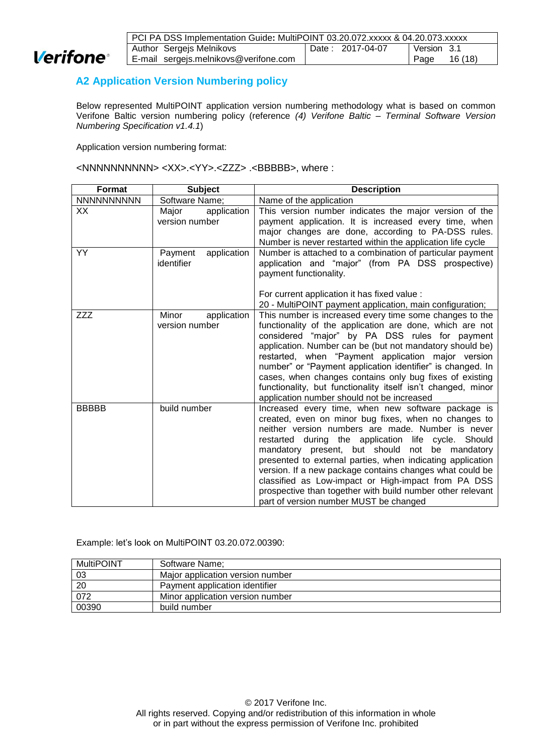

| PCI PA DSS Implementation Guide: MultiPOINT 03.20.072.xxxxx & 04.20.073.xxxxx |                  |                 |  |
|-------------------------------------------------------------------------------|------------------|-----------------|--|
| Author Sergejs Melnikovs                                                      | Date: 2017-04-07 | Version 3.1     |  |
| E-mail sergejs.melnikovs@verifone.com                                         |                  | 16 (18)<br>Page |  |

## <span id="page-15-0"></span>**A2 Application Version Numbering policy**

Below represented MultiPOINT application version numbering methodology what is based on common Verifone Baltic version numbering policy (reference *[\(4\)](#page-3-3) Verifone Baltic – [Terminal Software Version](#page-3-3)  [Numbering Specification v1.4.1](#page-3-3)*)

Application version numbering format:

<NNNNNNNNNN> <XX>.<YY>.<ZZZ> .<BBBBB>, where :

| <b>Format</b>     | <b>Subject</b>                         | <b>Description</b>                                                                                                                                                                                                                                                                                                                                                                                                                                                                                                                                                   |
|-------------------|----------------------------------------|----------------------------------------------------------------------------------------------------------------------------------------------------------------------------------------------------------------------------------------------------------------------------------------------------------------------------------------------------------------------------------------------------------------------------------------------------------------------------------------------------------------------------------------------------------------------|
| <b>NNNNNNNNNN</b> | Software Name;                         | Name of the application                                                                                                                                                                                                                                                                                                                                                                                                                                                                                                                                              |
| XX                | application<br>Major<br>version number | This version number indicates the major version of the<br>payment application. It is increased every time, when<br>major changes are done, according to PA-DSS rules.<br>Number is never restarted within the application life cycle                                                                                                                                                                                                                                                                                                                                 |
| YY                | Payment<br>application<br>identifier   | Number is attached to a combination of particular payment<br>application and "major" (from PA DSS prospective)<br>payment functionality.<br>For current application it has fixed value :<br>20 - MultiPOINT payment application, main configuration;                                                                                                                                                                                                                                                                                                                 |
| ZZZ               | Minor<br>application<br>version number | This number is increased every time some changes to the<br>functionality of the application are done, which are not<br>considered "major" by PA DSS rules for payment<br>application. Number can be (but not mandatory should be)<br>restarted, when "Payment application major version<br>number" or "Payment application identifier" is changed. In<br>cases, when changes contains only bug fixes of existing<br>functionality, but functionality itself isn't changed, minor<br>application number should not be increased                                       |
| <b>BBBBB</b>      | build number                           | Increased every time, when new software package is<br>created, even on minor bug fixes, when no changes to<br>neither version numbers are made. Number is never<br>restarted during the application life cycle. Should<br>mandatory present, but should not<br>be mandatory<br>presented to external parties, when indicating application<br>version. If a new package contains changes what could be<br>classified as Low-impact or High-impact from PA DSS<br>prospective than together with build number other relevant<br>part of version number MUST be changed |

Example: let's look on MultiPOINT 03.20.072.00390:

| <b>MultiPOINT</b> | Software Name;                   |
|-------------------|----------------------------------|
| -03               | Major application version number |
| 20                | Payment application identifier   |
| 072               | Minor application version number |
| 00390             | build number                     |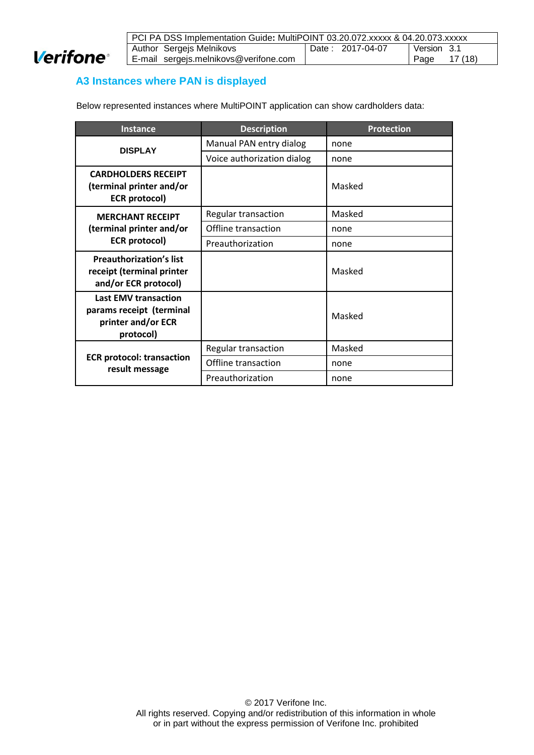

| PCI PA DSS Implementation Guide: MultiPOINT 03.20.072.xxxxx & 04.20.073.xxxxx |  |              |
|-------------------------------------------------------------------------------|--|--------------|
| Author Sergejs Melnikovs<br>Version 3.1<br>Date: 2017-04-07                   |  |              |
| E-mail sergejs.melnikovs@verifone.com                                         |  | Page 17 (18) |

## <span id="page-16-0"></span>**A3 Instances where PAN is displayed**

Below represented instances where MultiPOINT application can show cardholders data:

<span id="page-16-1"></span>

| Instance                                                                                   | <b>Description</b>         | <b>Protection</b> |
|--------------------------------------------------------------------------------------------|----------------------------|-------------------|
| <b>DISPLAY</b>                                                                             | Manual PAN entry dialog    | none              |
|                                                                                            | Voice authorization dialog | none              |
| <b>CARDHOLDERS RECEIPT</b><br>(terminal printer and/or<br><b>ECR</b> protocol)             |                            | Masked            |
| <b>MERCHANT RECEIPT</b>                                                                    | Regular transaction        | Masked            |
| (terminal printer and/or                                                                   | Offline transaction        | none              |
| <b>ECR</b> protocol)                                                                       | Preauthorization           | none              |
| <b>Preauthorization's list</b><br>receipt (terminal printer<br>and/or ECR protocol)        |                            | Masked            |
| <b>Last EMV transaction</b><br>params receipt (terminal<br>printer and/or ECR<br>protocol) |                            | Masked            |
|                                                                                            | Regular transaction        | Masked            |
| <b>ECR protocol: transaction</b><br>result message                                         | Offline transaction        | none              |
|                                                                                            | Preauthorization           | none              |